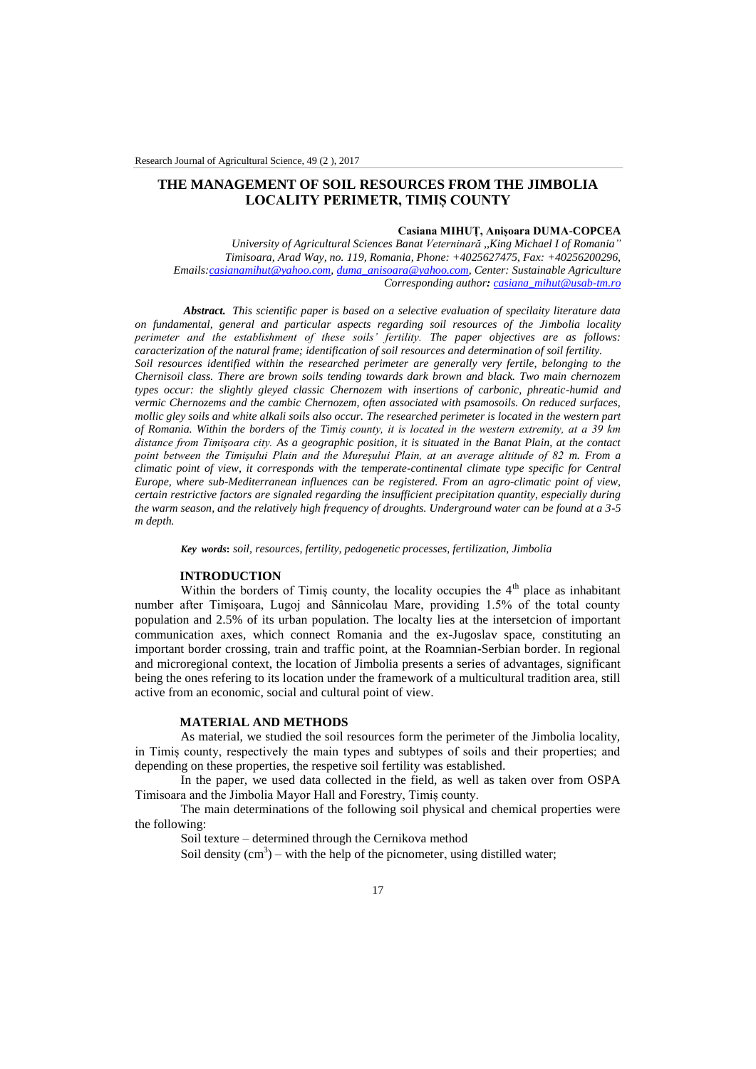## **THE MANAGEMENT OF SOIL RESOURCES FROM THE JIMBOLIA LOCALITY PERIMETR, TIMIȘ COUNTY**

## **Casiana MIHUȚ, Anișoara DUMA-COPCEA**

*University of Agricultural Sciences Banat Veterninară ,,King Michael I of Romania" Timisoara, Arad Way, no. 119, Romania, Phone: +4025627475, Fax: +40256200296, Emails[:casianamihut@yahoo.com,](mailto:casianamihut@yahoo.com) [duma\\_anisoara@yahoo.com,](mailto:duma_anisoara@yahoo.com) Center: Sustainable Agriculture Corresponding author: [casiana\\_mihut@usab-tm.ro](mailto:casiana_mihut@usab-tm.ro)*

*Abstract. This scientific paper is based on a selective evaluation of specilaity literature data on fundamental, general and particular aspects regarding soil resources of the Jimbolia locality perimeter and the establishment of these soils' fertility. The paper objectives are as follows: caracterization of the natural frame; identification of soil resources and determination of soil fertility. Soil resources identified within the researched perimeter are generally very fertile, belonging to the Chernisoil class. There are brown soils tending towards dark brown and black. Two main chernozem types occur: the slightly gleyed classic Chernozem with insertions of carbonic, phreatic-humid and vermic Chernozems and the cambic Chernozem, often associated with psamosoils. On reduced surfaces, mollic gley soils and white alkali soils also occur. The researched perimeter is located in the western part of Romania. Within the borders of the Timiş county, it is located in the western extremity, at a 39 km distance from Timişoara city. As a geographic position, it is situated in the Banat Plain, at the contact point between the Timişului Plain and the Mureşului Plain, at an average altitude of 82 m. From a climatic point of view, it corresponds with the temperate-continental climate type specific for Central Europe, where sub-Mediterranean influences can be registered. From an agro-climatic point of view, certain restrictive factors are signaled regarding the insufficient precipitation quantity, especially during the warm season, and the relatively high frequency of droughts. Underground water can be found at a 3-5 m depth.*

*Key words***:** *soil, resources, fertility, pedogenetic processes, fertilization, Jimbolia*

## **INTRODUCTION**

Within the borders of Timiş county, the locality occupies the  $4<sup>th</sup>$  place as inhabitant number after Timişoara, Lugoj and Sânnicolau Mare, providing 1.5% of the total county population and 2.5% of its urban population. The localty lies at the intersetcion of important communication axes, which connect Romania and the ex-Jugoslav space, constituting an important border crossing, train and traffic point, at the Roamnian-Serbian border. In regional and microregional context, the location of Jimbolia presents a series of advantages, significant being the ones refering to its location under the framework of a multicultural tradition area, still active from an economic, social and cultural point of view.

## **MATERIAL AND METHODS**

As material, we studied the soil resources form the perimeter of the Jimbolia locality, in Timiș county, respectively the main types and subtypes of soils and their properties; and depending on these properties, the respetive soil fertility was established.

In the paper, we used data collected in the field, as well as taken over from OSPA Timisoara and the Jimbolia Mayor Hall and Forestry, Timiș county.

The main determinations of the following soil physical and chemical properties were the following:

Soil texture – determined through the Cernikova method

Soil density  $(cm^3)$  – with the help of the picnometer, using distilled water;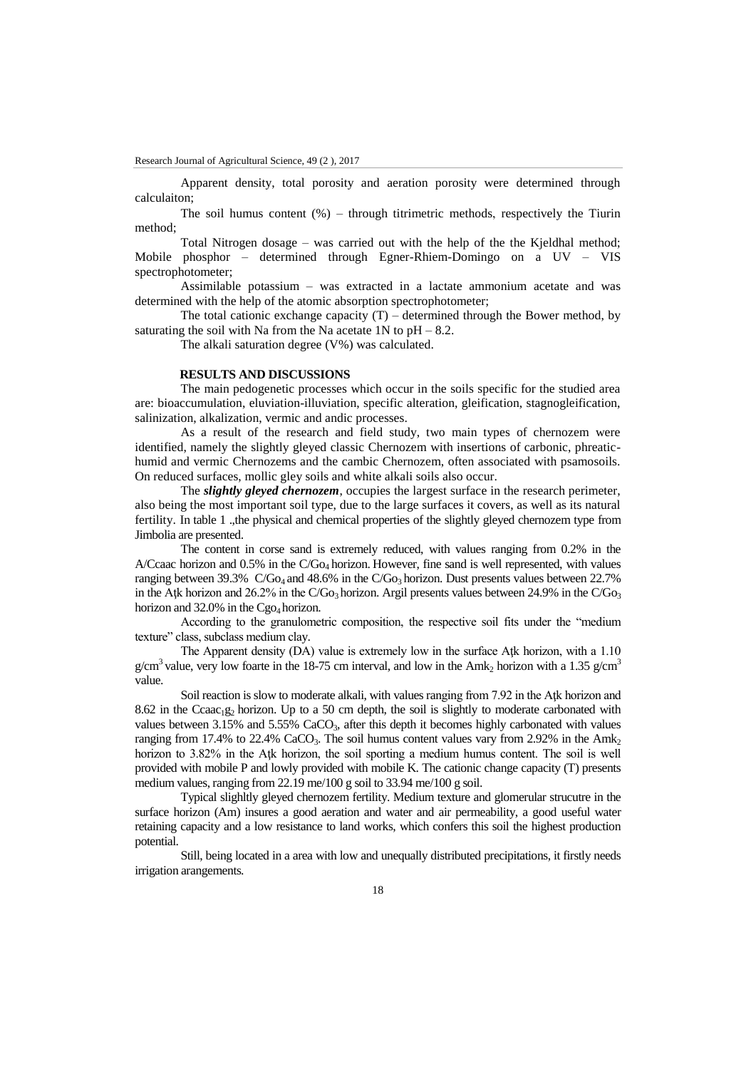Apparent density, total porosity and aeration porosity were determined through calculaiton;

The soil humus content  $(\%)$  – through titrimetric methods, respectively the Tiurin method;

Total Nitrogen dosage – was carried out with the help of the the Kjeldhal method; Mobile phosphor – determined through Egner-Rhiem-Domingo on a UV – VIS spectrophotometer;

Assimilable potassium – was extracted in a lactate ammonium acetate and was determined with the help of the atomic absorption spectrophotometer;

The total cationic exchange capacity  $(T)$  – determined through the Bower method, by saturating the soil with Na from the Na acetate  $1N$  to  $pH - 8.2$ .

The alkali saturation degree (V%) was calculated.

## **RESULTS AND DISCUSSIONS**

The main pedogenetic processes which occur in the soils specific for the studied area are: bioaccumulation, eluviation-illuviation, specific alteration, gleification, stagnogleification, salinization, alkalization, vermic and andic processes.

As a result of the research and field study, two main types of chernozem were identified, namely the slightly gleyed classic Chernozem with insertions of carbonic, phreatichumid and vermic Chernozems and the cambic Chernozem, often associated with psamosoils. On reduced surfaces, mollic gley soils and white alkali soils also occur.

The *slightly gleyed chernozem*, occupies the largest surface in the research perimeter, also being the most important soil type, due to the large surfaces it covers, as well as its natural fertility. In table 1 .,the physical and chemical properties of the slightly gleyed chernozem type from Jimbolia are presented.

The content in corse sand is extremely reduced, with values ranging from 0.2% in the A/Ccaac horizon and 0.5% in the C/Go4 horizon. However, fine sand is well represented, with values ranging between  $39.3\%$  C/Go<sub>4</sub> and  $48.6\%$  in the C/Go<sub>3</sub> horizon. Dust presents values between  $22.7\%$ in the Atk horizon and 26.2% in the C/Go<sub>3</sub> horizon. Argil presents values between 24.9% in the C/Go<sub>3</sub> horizon and  $32.0\%$  in the Cgo<sub>4</sub> horizon.

According to the granulometric composition, the respective soil fits under the "medium texture" class, subclass medium clay.

The Apparent density (DA) value is extremely low in the surface Atk horizon, with a 1.10 g/cm<sup>3</sup> value, very low foarte in the 18-75 cm interval, and low in the Amk<sub>2</sub> horizon with a 1.35 g/cm<sup>3</sup> value.

Soil reaction is slow to moderate alkali, with values ranging from 7.92 in the Atk horizon and 8.62 in the Ccaac<sub>1</sub>g<sub>2</sub> horizon. Up to a 50 cm depth, the soil is slightly to moderate carbonated with values between 3.15% and 5.55% CaCO<sub>3</sub>, after this depth it becomes highly carbonated with values ranging from 17.4% to 22.4% CaCO<sub>3</sub>. The soil humus content values vary from 2.92% in the Amk<sub>2</sub> horizon to 3.82% in the Atk horizon, the soil sporting a medium humus content. The soil is well provided with mobile P and lowly provided with mobile K. The cationic change capacity (T) presents medium values, ranging from 22.19 me/100 g soil to 33.94 me/100 g soil.

Typical slighltly gleyed chernozem fertility. Medium texture and glomerular strucutre in the surface horizon (Am) insures a good aeration and water and air permeability, a good useful water retaining capacity and a low resistance to land works, which confers this soil the highest production potential.

Still, being located in a area with low and unequally distributed precipitations, it firstly needs irrigation arangements.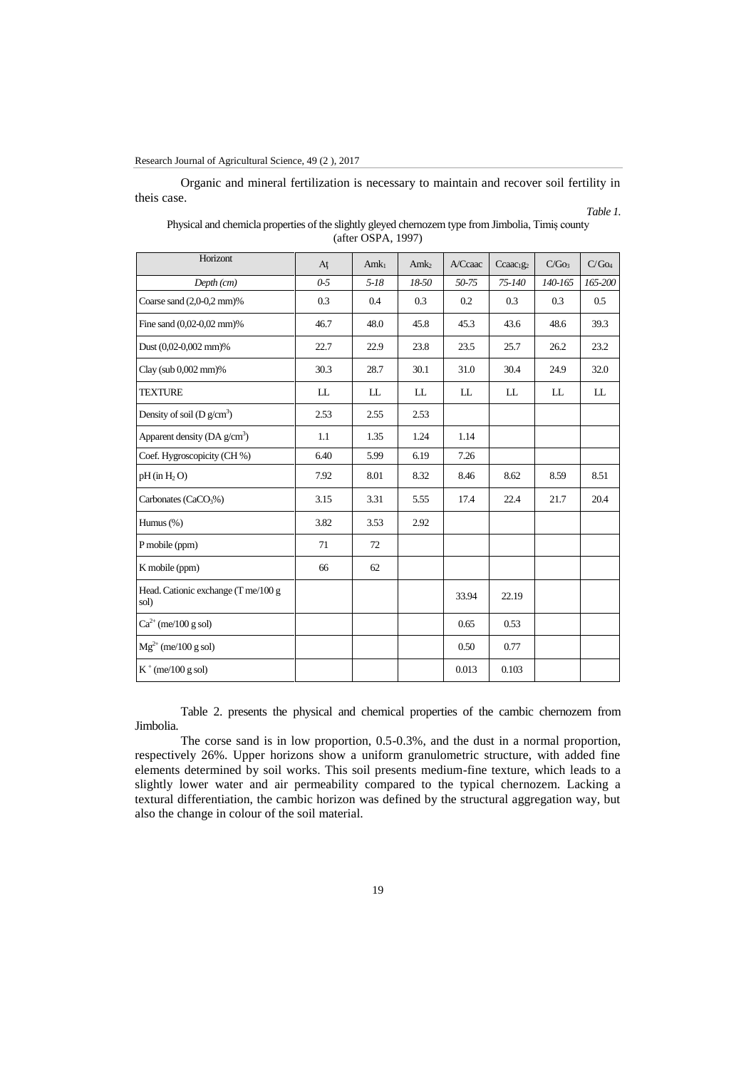## Research Journal of Agricultural Science, 49 (2 ), 2017

Organic and mineral fertilization is necessary to maintain and recover soil fertility in theis case.

*Table 1.*

# Horizont  $A\mathfrak{t}$  Amk<sub>1</sub>  $\mathfrak{m}$ k<sub>2</sub>  $\mathfrak{A}$ /Ccaac  $\mathfrak{c}_{\text{c} \text{caac}_1g_2}$  C/Go<sub>3</sub> C/Go<sub>4</sub> *Depth (cm) 0-5 5-18 18-50 50-75 75-140 140-165 165-200* Coarse sand (2,0-0,2 mm)% 0.3 0.4 0.3 0.3 0.2 0.3 0.3 0.5 Fine sand (0,02-0,02 mm)% 46.7 48.0 45.8 45.3 43.6 48.6 39.3 Dust (0,02-0,002 mm)% 22.7 22.9 23.8 23.5 25.7 26.2 23.2 Clay (sub 0,002 mm)% 30.3 28.7 30.1 31.0 30.4 24.9 32.0 TEXTURE ILL LL LL LL LL LL LL LL Density of soil ( $D g/cm<sup>3</sup>$ ) ) 2.53 2.55 2.53 Apparent density  $(DA g/cm<sup>3</sup>)$ ) 1.1 1.35 1.24 1.14 Coef. Hygroscopicity (CH %) 6.40 5.99 6.19 7.26 pH (in H<sup>2</sup> O) 7.92 8.01 8.32 8.46 8.62 8.59 8.51 Carbonates (CaCO<sub>3</sub>%) 3.15 3.31 5.55 17.4 22.4 21.7 20.4 Humus (%) 3.82 3.53 2.92 P mobile (ppm) 71 72 K mobile (ppm)  $66$  62 Head. Cationic exchange (T me/100 g and Separation 23.94 22.19  $Ca^{2+}$  (me/100 g sol) 0.53 0.53  $Mg^{2+}$  (me/100 g sol)  $10.50$  0.77  $K^+$  (me/100 g sol) 0.013 0.103

| Physical and chemicla properties of the slightly gleyed chernozem type from Jimbolia, Timiş county |
|----------------------------------------------------------------------------------------------------|
| $(after$ OSPA, 1997)                                                                               |

Table 2. presents the physical and chemical properties of the cambic chernozem from Jimbolia.

The corse sand is in low proportion, 0.5-0.3%, and the dust in a normal proportion, respectively 26%. Upper horizons show a uniform granulometric structure, with added fine elements determined by soil works. This soil presents medium-fine texture, which leads to a slightly lower water and air permeability compared to the typical chernozem. Lacking a textural differentiation, the cambic horizon was defined by the structural aggregation way, but also the change in colour of the soil material.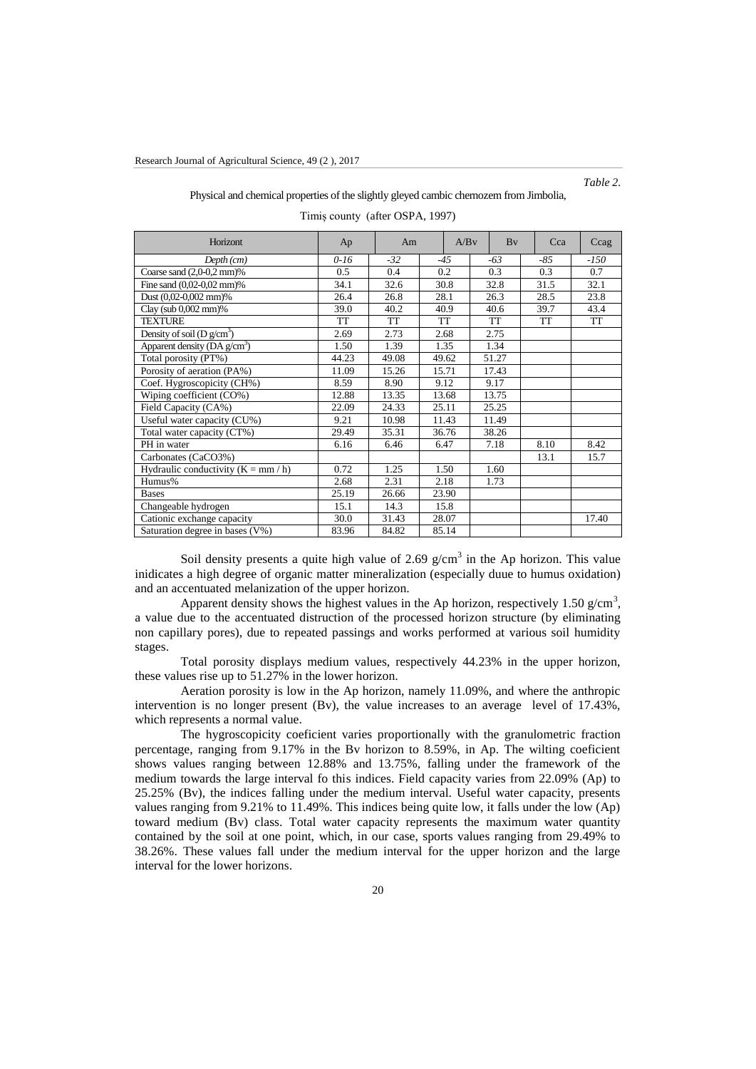*Table 2.*

|  |  |  |  |  | Physical and chemical properties of the slightly gleyed cambic chernozem from Jimbolia, |
|--|--|--|--|--|-----------------------------------------------------------------------------------------|
|--|--|--|--|--|-----------------------------------------------------------------------------------------|

| Horizont                                    | Am<br>Ap  |       | A/Bv  | Bv |           | Cca |       | Ccag |           |
|---------------------------------------------|-----------|-------|-------|----|-----------|-----|-------|------|-----------|
| $Depth$ $(cm)$                              | $0-16$    | $-32$ | $-45$ |    | $-63$     |     | $-85$ |      | $-150$    |
| Coarse sand $(2,0-0,2$ mm $)$ %             | 0.5       | 0.4   | 0.2   |    | 0.3       |     | 0.3   |      | 0.7       |
| Fine sand (0,02-0,02 mm)%                   | 34.1      | 32.6  | 30.8  |    | 32.8      |     | 31.5  |      | 32.1      |
| Dust (0,02-0,002 mm)%                       | 26.4      | 26.8  | 28.1  |    | 26.3      |     | 28.5  |      | 23.8      |
| Clay (sub $0,002$ mm)%                      | 39.0      | 40.2  | 40.9  |    | 40.6      |     | 39.7  |      | 43.4      |
| <b>TEXTURE</b>                              | <b>TT</b> | TT    | TT    |    | <b>TT</b> |     | TT    |      | <b>TT</b> |
| Density of soil (D $g/cm^3$ )               | 2.69      | 2.73  | 2.68  |    | 2.75      |     |       |      |           |
| Apparent density ( $DA$ g/cm <sup>3</sup> ) | 1.50      | 1.39  | 1.35  |    | 1.34      |     |       |      |           |
| Total porosity (PT%)                        | 44.23     | 49.08 | 49.62 |    | 51.27     |     |       |      |           |
| Porosity of aeration (PA%)                  | 11.09     | 15.26 | 15.71 |    | 17.43     |     |       |      |           |
| Coef. Hygroscopicity (CH%)                  | 8.59      | 8.90  | 9.12  |    | 9.17      |     |       |      |           |
| Wiping coefficient (CO%)                    | 12.88     | 13.35 | 13.68 |    | 13.75     |     |       |      |           |
| Field Capacity (CA%)                        | 22.09     | 24.33 | 25.11 |    | 25.25     |     |       |      |           |
| Useful water capacity (CU%)                 | 9.21      | 10.98 | 11.43 |    | 11.49     |     |       |      |           |
| Total water capacity (CT%)                  | 29.49     | 35.31 | 36.76 |    | 38.26     |     |       |      |           |
| PH in water                                 | 6.16      | 6.46  | 6.47  |    | 7.18      |     | 8.10  |      | 8.42      |
| Carbonates (CaCO3%)                         |           |       |       |    |           |     | 13.1  |      | 15.7      |
| Hydraulic conductivity $(K = mm / h)$       | 0.72      | 1.25  | 1.50  |    | 1.60      |     |       |      |           |
| Humus%                                      | 2.68      | 2.31  | 2.18  |    | 1.73      |     |       |      |           |
| <b>Bases</b>                                | 25.19     | 26.66 | 23.90 |    |           |     |       |      |           |
| Changeable hydrogen                         | 15.1      | 14.3  | 15.8  |    |           |     |       |      |           |
| Cationic exchange capacity                  | 30.0      | 31.43 | 28.07 |    |           |     |       |      | 17.40     |
| Saturation degree in bases (V%)             | 83.96     | 84.82 | 85.14 |    |           |     |       |      |           |

Timiș county (after OSPA, 1997)

Soil density presents a quite high value of 2.69  $g/cm<sup>3</sup>$  in the Ap horizon. This value inidicates a high degree of organic matter mineralization (especially duue to humus oxidation) and an accentuated melanization of the upper horizon.

Apparent density shows the highest values in the Ap horizon, respectively 1.50  $g/cm<sup>3</sup>$ , a value due to the accentuated distruction of the processed horizon structure (by eliminating non capillary pores), due to repeated passings and works performed at various soil humidity stages.

Total porosity displays medium values, respectively 44.23% in the upper horizon, these values rise up to 51.27% in the lower horizon.

Aeration porosity is low in the Ap horizon, namely 11.09%, and where the anthropic intervention is no longer present (Bv), the value increases to an average level of 17.43%, which represents a normal value.

The hygroscopicity coeficient varies proportionally with the granulometric fraction percentage, ranging from 9.17% in the Bv horizon to 8.59%, in Ap. The wilting coeficient shows values ranging between 12.88% and 13.75%, falling under the framework of the medium towards the large interval fo this indices. Field capacity varies from 22.09% (Ap) to 25.25% (Bv), the indices falling under the medium interval. Useful water capacity, presents values ranging from 9.21% to 11.49%. This indices being quite low, it falls under the low (Ap) toward medium (Bv) class. Total water capacity represents the maximum water quantity contained by the soil at one point, which, in our case, sports values ranging from 29.49% to 38.26%. These values fall under the medium interval for the upper horizon and the large interval for the lower horizons.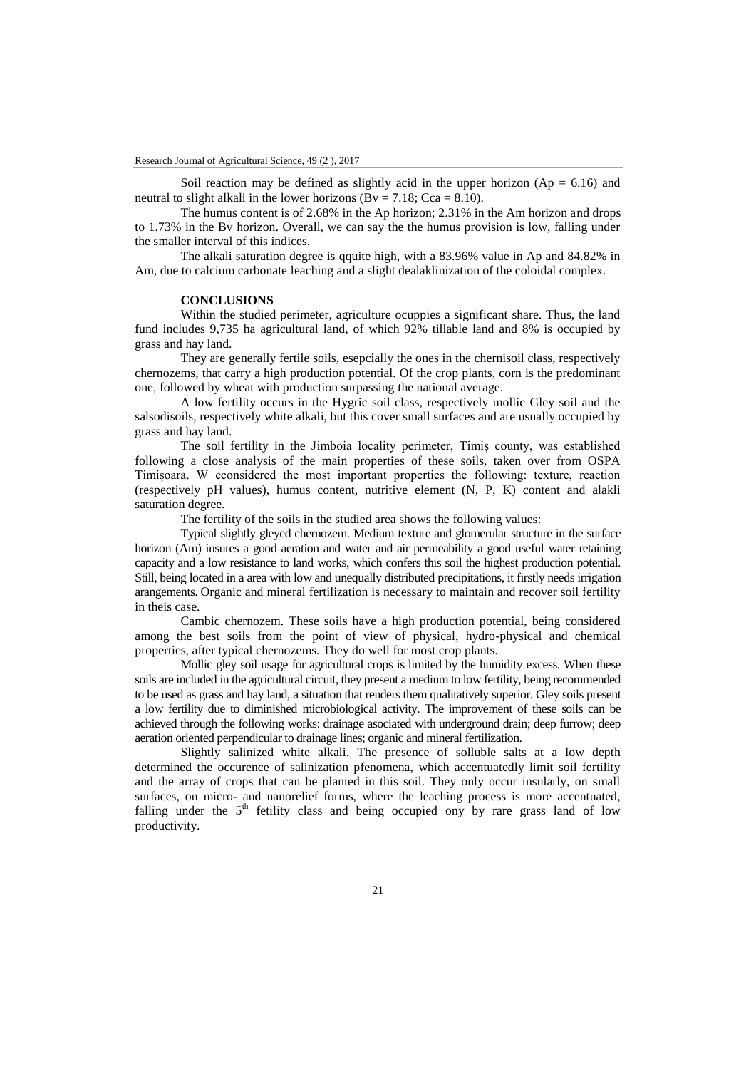Soil reaction may be defined as slightly acid in the upper horizon  $(Ap = 6.16)$  and neutral to slight alkali in the lower horizons ( $Bv = 7.18$ ; Cca = 8.10).

The humus content is of 2.68% in the Ap horizon; 2.31% in the Am horizon and drops to 1.73% in the Bv horizon. Overall, we can say the the humus provision is low, falling under the smaller interval of this indices.

The alkali saturation degree is qquite high, with a 83.96% value in Ap and 84.82% in Am, due to calcium carbonate leaching and a slight dealaklinization of the coloidal complex.

## **CONCLUSIONS**

Within the studied perimeter, agriculture ocuppies a significant share. Thus, the land fund includes 9,735 ha agricultural land, of which 92% tillable land and 8% is occupied by grass and hay land.

They are generally fertile soils, esepcially the ones in the chernisoil class, respectively chernozems, that carry a high production potential. Of the crop plants, corn is the predominant one, followed by wheat with production surpassing the national average.

A low fertility occurs in the Hygric soil class, respectively mollic Gley soil and the salsodisoils, respectively white alkali, but this cover small surfaces and are usually occupied by grass and hay land.

The soil fertility in the Jimboia locality perimeter, Timiș county, was established following a close analysis of the main properties of these soils, taken over from OSPA Timișoara. W econsidered the most important properties the following: texture, reaction (respectively pH values), humus content, nutritive element (N, P, K) content and alakli saturation degree.

The fertility of the soils in the studied area shows the following values:

Typical slightly gleyed chernozem. Medium texture and glomerular structure in the surface horizon (Am) insures a good aeration and water and air permeability a good useful water retaining capacity and a low resistance to land works, which confers this soil the highest production potential. Still, being located in a area with low and unequally distributed precipitations, it firstly needs irrigation arangements. Organic and mineral fertilization is necessary to maintain and recover soil fertility in theis case.

Cambic chernozem. These soils have a high production potential, being considered among the best soils from the point of view of physical, hydro-physical and chemical properties, after typical chernozems. They do well for most crop plants.

Mollic gley soil usage for agricultural crops is limited by the humidity excess. When these soils are included in the agricultural circuit, they present a medium to low fertility, being recommended to be used as grass and hay land, a situation that renders them qualitatively superior. Gley soils present a low fertility due to diminished microbiological activity. The improvement of these soils can be achieved through the following works: drainage asociated with underground drain; deep furrow; deep aeration oriented perpendicular to drainage lines; organic and mineral fertilization.

Slightly salinized white alkali. The presence of solluble salts at a low depth determined the occurence of salinization pfenomena, which accentuatedly limit soil fertility and the array of crops that can be planted in this soil. They only occur insularly, on small surfaces, on micro- and nanorelief forms, where the leaching process is more accentuated, falling under the  $5<sup>th</sup>$  fetility class and being occupied ony by rare grass land of low productivity.